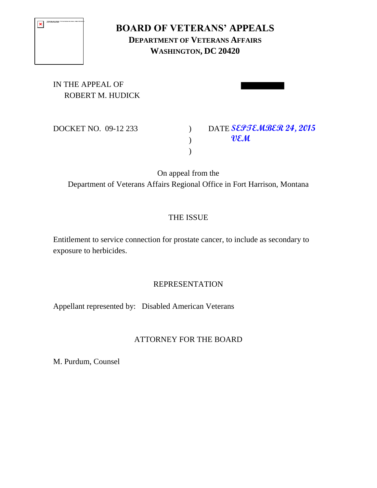| The first maps cerrel to displayed. The factory favor moved, screened, or attribut youth that t<br>ports to the compt the and heatling. |
|-----------------------------------------------------------------------------------------------------------------------------------------|
|                                                                                                                                         |
|                                                                                                                                         |
|                                                                                                                                         |

# **BOARD OF VETERANS' APPEALS DEPARTMENT OF VETERANS AFFAIRS WASHINGTON, DC 20420**

IN THE APPEAL OF ROBERT M. HUDICK

DOCKET NO. 09-12 233

**DATE SEPTEMBER 24, 2015 VEM**

On appeal from the Department of Veterans Affairs Regional Office in Fort Harrison, Montana

 $\mathcal{L}$  $\lambda$ 

# THE ISSUE

Entitlement to service connection for prostate cancer, to include as secondary to exposure to herbicides.

#### REPRESENTATION

Appellant represented by: Disabled American Veterans

#### ATTORNEY FOR THE BOARD

M. Purdum, Counsel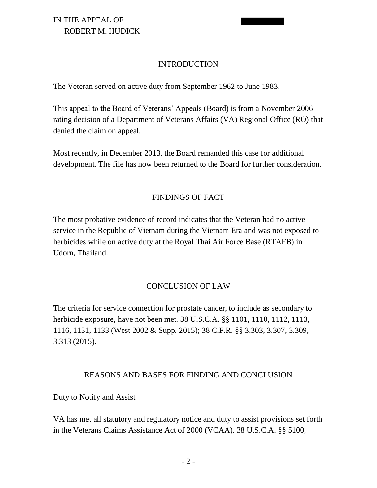#### INTRODUCTION

The Veteran served on active duty from September 1962 to June 1983.

This appeal to the Board of Veterans' Appeals (Board) is from a November 2006 rating decision of a Department of Veterans Affairs (VA) Regional Office (RO) that denied the claim on appeal.

Most recently, in December 2013, the Board remanded this case for additional development. The file has now been returned to the Board for further consideration.

#### FINDINGS OF FACT

The most probative evidence of record indicates that the Veteran had no active service in the Republic of Vietnam during the Vietnam Era and was not exposed to herbicides while on active duty at the Royal Thai Air Force Base (RTAFB) in Udorn, Thailand.

#### CONCLUSION OF LAW

The criteria for service connection for prostate cancer, to include as secondary to herbicide exposure, have not been met. 38 U.S.C.A. §§ 1101, 1110, 1112, 1113, 1116, 1131, 1133 (West 2002 & Supp. 2015); 38 C.F.R. §§ 3.303, 3.307, 3.309, 3.313 (2015).

#### REASONS AND BASES FOR FINDING AND CONCLUSION

Duty to Notify and Assist

VA has met all statutory and regulatory notice and duty to assist provisions set forth in the Veterans Claims Assistance Act of 2000 (VCAA). 38 U.S.C.A. §§ 5100,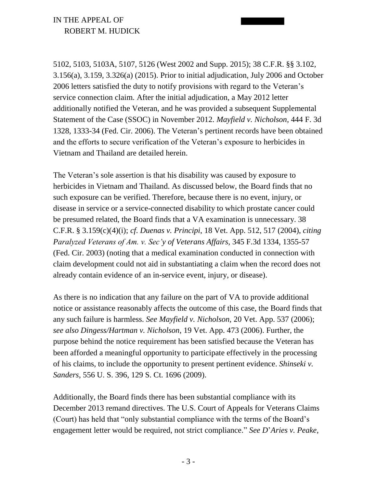5102, 5103, 5103A, 5107, 5126 (West 2002 and Supp. 2015); 38 C.F.R. §§ 3.102, 3.156(a), 3.159, 3.326(a) (2015). Prior to initial adjudication, July 2006 and October 2006 letters satisfied the duty to notify provisions with regard to the Veteran's service connection claim. After the initial adjudication, a May 2012 letter additionally notified the Veteran, and he was provided a subsequent Supplemental Statement of the Case (SSOC) in November 2012. *Mayfield v. Nicholson*, 444 F. 3d 1328, 1333-34 (Fed. Cir. 2006). The Veteran's pertinent records have been obtained and the efforts to secure verification of the Veteran's exposure to herbicides in Vietnam and Thailand are detailed herein.

The Veteran's sole assertion is that his disability was caused by exposure to herbicides in Vietnam and Thailand. As discussed below, the Board finds that no such exposure can be verified. Therefore, because there is no event, injury, or disease in service or a service-connected disability to which prostate cancer could be presumed related, the Board finds that a VA examination is unnecessary. 38 C.F.R. § 3.159(c)(4)(i); *cf*. *Duenas v. Principi*, 18 Vet. App. 512, 517 (2004), *citing Paralyzed Veterans of Am. v. Sec'y of Veterans Affairs*, 345 F.3d 1334, 1355-57 (Fed. Cir. 2003) (noting that a medical examination conducted in connection with claim development could not aid in substantiating a claim when the record does not already contain evidence of an in-service event, injury, or disease).

As there is no indication that any failure on the part of VA to provide additional notice or assistance reasonably affects the outcome of this case, the Board finds that any such failure is harmless. *See Mayfield v. Nicholson*, 20 Vet. App. 537 (2006); *see also Dingess/Hartman v. Nicholson*, 19 Vet. App. 473 (2006). Further, the purpose behind the notice requirement has been satisfied because the Veteran has been afforded a meaningful opportunity to participate effectively in the processing of his claims, to include the opportunity to present pertinent evidence. *Shinseki v. Sanders*, 556 U. S. 396, 129 S. Ct. 1696 (2009).

Additionally, the Board finds there has been substantial compliance with its December 2013 remand directives. The U.S. Court of Appeals for Veterans Claims (Court) has held that "only substantial compliance with the terms of the Board's engagement letter would be required, not strict compliance." *See D*'*Aries v. Peake*,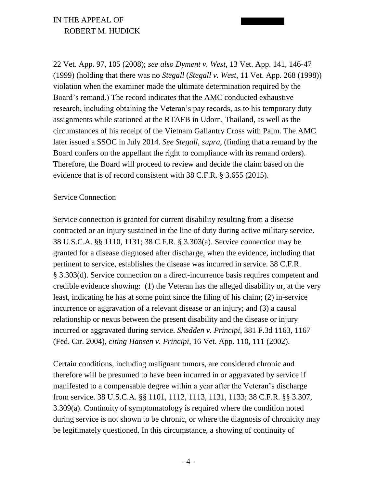22 Vet. App. 97, 105 (2008); *see also Dyment v. West*, 13 Vet. App. 141, 146-47 (1999) (holding that there was no *Stegall* (*Stegall v. West*, 11 Vet. App. 268 (1998)) violation when the examiner made the ultimate determination required by the Board's remand.) The record indicates that the AMC conducted exhaustive research, including obtaining the Veteran's pay records, as to his temporary duty assignments while stationed at the RTAFB in Udorn, Thailand, as well as the circumstances of his receipt of the Vietnam Gallantry Cross with Palm. The AMC later issued a SSOC in July 2014. *See Stegall*, *supra*, (finding that a remand by the Board confers on the appellant the right to compliance with its remand orders). Therefore, the Board will proceed to review and decide the claim based on the evidence that is of record consistent with 38 C.F.R. § 3.655 (2015).

#### Service Connection

Service connection is granted for current disability resulting from a disease contracted or an injury sustained in the line of duty during active military service. 38 U.S.C.A. §§ 1110, 1131; 38 C.F.R. § 3.303(a). Service connection may be granted for a disease diagnosed after discharge, when the evidence, including that pertinent to service, establishes the disease was incurred in service. 38 C.F.R. § 3.303(d). Service connection on a direct-incurrence basis requires competent and credible evidence showing: (1) the Veteran has the alleged disability or, at the very least, indicating he has at some point since the filing of his claim; (2) in-service incurrence or aggravation of a relevant disease or an injury; and (3) a causal relationship or nexus between the present disability and the disease or injury incurred or aggravated during service. *Shedden v. Principi*, 381 F.3d 1163, 1167 (Fed. Cir. 2004), *citing Hansen v. Principi*, 16 Vet. App. 110, 111 (2002).

Certain conditions, including malignant tumors, are considered chronic and therefore will be presumed to have been incurred in or aggravated by service if manifested to a compensable degree within a year after the Veteran's discharge from service. 38 U.S.C.A. §§ 1101, 1112, 1113, 1131, 1133; 38 C.F.R. §§ 3.307, 3.309(a). Continuity of symptomatology is required where the condition noted during service is not shown to be chronic, or where the diagnosis of chronicity may be legitimately questioned. In this circumstance, a showing of continuity of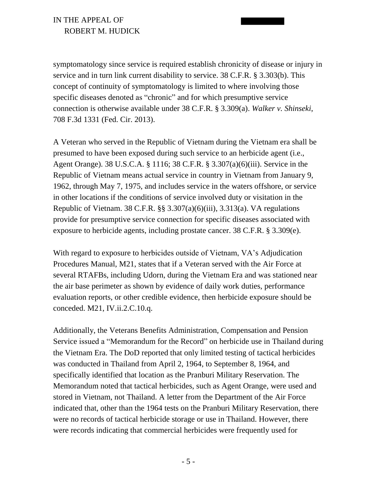symptomatology since service is required establish chronicity of disease or injury in service and in turn link current disability to service. 38 C.F.R. § 3.303(b). This concept of continuity of symptomatology is limited to where involving those specific diseases denoted as "chronic" and for which presumptive service connection is otherwise available under 38 C.F.R. § 3.309(a). *Walker v. Shinseki*, 708 F.3d 1331 (Fed. Cir. 2013).

A Veteran who served in the Republic of Vietnam during the Vietnam era shall be presumed to have been exposed during such service to an herbicide agent (i.e., Agent Orange). 38 U.S.C.A. § 1116; 38 C.F.R. § 3.307(a)(6)(iii). Service in the Republic of Vietnam means actual service in country in Vietnam from January 9, 1962, through May 7, 1975, and includes service in the waters offshore, or service in other locations if the conditions of service involved duty or visitation in the Republic of Vietnam. 38 C.F.R. §§ 3.307(a)(6)(iii), 3.313(a). VA regulations provide for presumptive service connection for specific diseases associated with exposure to herbicide agents, including prostate cancer. 38 C.F.R. § 3.309(e).

With regard to exposure to herbicides outside of Vietnam, VA's Adjudication Procedures Manual, M21, states that if a Veteran served with the Air Force at several RTAFBs, including Udorn, during the Vietnam Era and was stationed near the air base perimeter as shown by evidence of daily work duties, performance evaluation reports, or other credible evidence, then herbicide exposure should be conceded. M21, IV.ii.2.C.10.q.

Additionally, the Veterans Benefits Administration, Compensation and Pension Service issued a "Memorandum for the Record" on herbicide use in Thailand during the Vietnam Era. The DoD reported that only limited testing of tactical herbicides was conducted in Thailand from April 2, 1964, to September 8, 1964, and specifically identified that location as the Pranburi Military Reservation. The Memorandum noted that tactical herbicides, such as Agent Orange, were used and stored in Vietnam, not Thailand. A letter from the Department of the Air Force indicated that, other than the 1964 tests on the Pranburi Military Reservation, there were no records of tactical herbicide storage or use in Thailand. However, there were records indicating that commercial herbicides were frequently used for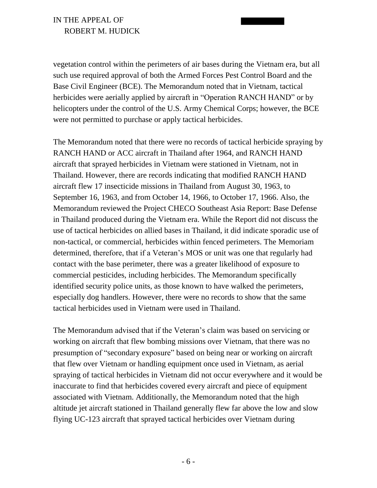vegetation control within the perimeters of air bases during the Vietnam era, but all such use required approval of both the Armed Forces Pest Control Board and the Base Civil Engineer (BCE). The Memorandum noted that in Vietnam, tactical herbicides were aerially applied by aircraft in "Operation RANCH HAND" or by helicopters under the control of the U.S. Army Chemical Corps; however, the BCE were not permitted to purchase or apply tactical herbicides.

The Memorandum noted that there were no records of tactical herbicide spraying by RANCH HAND or ACC aircraft in Thailand after 1964, and RANCH HAND aircraft that sprayed herbicides in Vietnam were stationed in Vietnam, not in Thailand. However, there are records indicating that modified RANCH HAND aircraft flew 17 insecticide missions in Thailand from August 30, 1963, to September 16, 1963, and from October 14, 1966, to October 17, 1966. Also, the Memorandum reviewed the Project CHECO Southeast Asia Report: Base Defense in Thailand produced during the Vietnam era. While the Report did not discuss the use of tactical herbicides on allied bases in Thailand, it did indicate sporadic use of non-tactical, or commercial, herbicides within fenced perimeters. The Memoriam determined, therefore, that if a Veteran's MOS or unit was one that regularly had contact with the base perimeter, there was a greater likelihood of exposure to commercial pesticides, including herbicides. The Memorandum specifically identified security police units, as those known to have walked the perimeters, especially dog handlers. However, there were no records to show that the same tactical herbicides used in Vietnam were used in Thailand.

The Memorandum advised that if the Veteran's claim was based on servicing or working on aircraft that flew bombing missions over Vietnam, that there was no presumption of "secondary exposure" based on being near or working on aircraft that flew over Vietnam or handling equipment once used in Vietnam, as aerial spraying of tactical herbicides in Vietnam did not occur everywhere and it would be inaccurate to find that herbicides covered every aircraft and piece of equipment associated with Vietnam. Additionally, the Memorandum noted that the high altitude jet aircraft stationed in Thailand generally flew far above the low and slow flying UC-123 aircraft that sprayed tactical herbicides over Vietnam during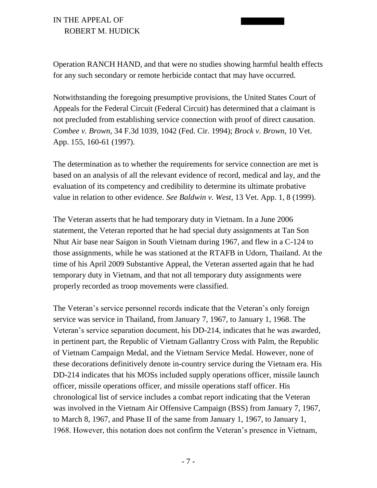Operation RANCH HAND, and that were no studies showing harmful health effects for any such secondary or remote herbicide contact that may have occurred.

Notwithstanding the foregoing presumptive provisions, the United States Court of Appeals for the Federal Circuit (Federal Circuit) has determined that a claimant is not precluded from establishing service connection with proof of direct causation. *Combee v. Brown*, 34 F.3d 1039, 1042 (Fed. Cir. 1994); *Brock v. Brown*, 10 Vet. App. 155, 160-61 (1997).

The determination as to whether the requirements for service connection are met is based on an analysis of all the relevant evidence of record, medical and lay, and the evaluation of its competency and credibility to determine its ultimate probative value in relation to other evidence. *See Baldwin v. West*, 13 Vet. App. 1, 8 (1999).

The Veteran asserts that he had temporary duty in Vietnam. In a June 2006 statement, the Veteran reported that he had special duty assignments at Tan Son Nhut Air base near Saigon in South Vietnam during 1967, and flew in a C-124 to those assignments, while he was stationed at the RTAFB in Udorn, Thailand. At the time of his April 2009 Substantive Appeal, the Veteran asserted again that he had temporary duty in Vietnam, and that not all temporary duty assignments were properly recorded as troop movements were classified.

The Veteran's service personnel records indicate that the Veteran's only foreign service was service in Thailand, from January 7, 1967, to January 1, 1968. The Veteran's service separation document, his DD-214, indicates that he was awarded, in pertinent part, the Republic of Vietnam Gallantry Cross with Palm, the Republic of Vietnam Campaign Medal, and the Vietnam Service Medal. However, none of these decorations definitively denote in-country service during the Vietnam era. His DD-214 indicates that his MOSs included supply operations officer, missile launch officer, missile operations officer, and missile operations staff officer. His chronological list of service includes a combat report indicating that the Veteran was involved in the Vietnam Air Offensive Campaign (BSS) from January 7, 1967, to March 8, 1967, and Phase II of the same from January 1, 1967, to January 1, 1968. However, this notation does not confirm the Veteran's presence in Vietnam,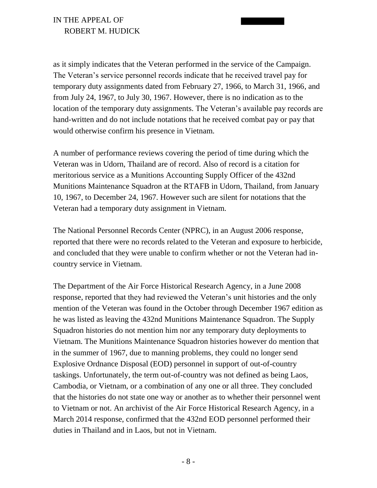as it simply indicates that the Veteran performed in the service of the Campaign. The Veteran's service personnel records indicate that he received travel pay for temporary duty assignments dated from February 27, 1966, to March 31, 1966, and from July 24, 1967, to July 30, 1967. However, there is no indication as to the location of the temporary duty assignments. The Veteran's available pay records are hand-written and do not include notations that he received combat pay or pay that would otherwise confirm his presence in Vietnam.

A number of performance reviews covering the period of time during which the Veteran was in Udorn, Thailand are of record. Also of record is a citation for meritorious service as a Munitions Accounting Supply Officer of the 432nd Munitions Maintenance Squadron at the RTAFB in Udorn, Thailand, from January 10, 1967, to December 24, 1967. However such are silent for notations that the Veteran had a temporary duty assignment in Vietnam.

The National Personnel Records Center (NPRC), in an August 2006 response, reported that there were no records related to the Veteran and exposure to herbicide, and concluded that they were unable to confirm whether or not the Veteran had incountry service in Vietnam.

The Department of the Air Force Historical Research Agency, in a June 2008 response, reported that they had reviewed the Veteran's unit histories and the only mention of the Veteran was found in the October through December 1967 edition as he was listed as leaving the 432nd Munitions Maintenance Squadron. The Supply Squadron histories do not mention him nor any temporary duty deployments to Vietnam. The Munitions Maintenance Squadron histories however do mention that in the summer of 1967, due to manning problems, they could no longer send Explosive Ordnance Disposal (EOD) personnel in support of out-of-country taskings. Unfortunately, the term out-of-country was not defined as being Laos, Cambodia, or Vietnam, or a combination of any one or all three. They concluded that the histories do not state one way or another as to whether their personnel went to Vietnam or not. An archivist of the Air Force Historical Research Agency, in a March 2014 response, confirmed that the 432nd EOD personnel performed their duties in Thailand and in Laos, but not in Vietnam.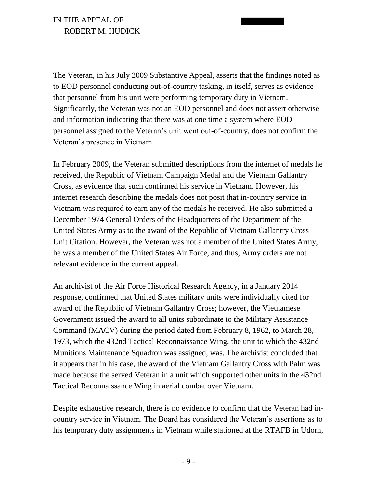The Veteran, in his July 2009 Substantive Appeal, asserts that the findings noted as to EOD personnel conducting out-of-country tasking, in itself, serves as evidence that personnel from his unit were performing temporary duty in Vietnam. Significantly, the Veteran was not an EOD personnel and does not assert otherwise and information indicating that there was at one time a system where EOD personnel assigned to the Veteran's unit went out-of-country, does not confirm the Veteran's presence in Vietnam.

In February 2009, the Veteran submitted descriptions from the internet of medals he received, the Republic of Vietnam Campaign Medal and the Vietnam Gallantry Cross, as evidence that such confirmed his service in Vietnam. However, his internet research describing the medals does not posit that in-country service in Vietnam was required to earn any of the medals he received. He also submitted a December 1974 General Orders of the Headquarters of the Department of the United States Army as to the award of the Republic of Vietnam Gallantry Cross Unit Citation. However, the Veteran was not a member of the United States Army, he was a member of the United States Air Force, and thus, Army orders are not relevant evidence in the current appeal.

An archivist of the Air Force Historical Research Agency, in a January 2014 response, confirmed that United States military units were individually cited for award of the Republic of Vietnam Gallantry Cross; however, the Vietnamese Government issued the award to all units subordinate to the Military Assistance Command (MACV) during the period dated from February 8, 1962, to March 28, 1973, which the 432nd Tactical Reconnaissance Wing, the unit to which the 432nd Munitions Maintenance Squadron was assigned, was. The archivist concluded that it appears that in his case, the award of the Vietnam Gallantry Cross with Palm was made because the served Veteran in a unit which supported other units in the 432nd Tactical Reconnaissance Wing in aerial combat over Vietnam.

Despite exhaustive research, there is no evidence to confirm that the Veteran had incountry service in Vietnam. The Board has considered the Veteran's assertions as to his temporary duty assignments in Vietnam while stationed at the RTAFB in Udorn,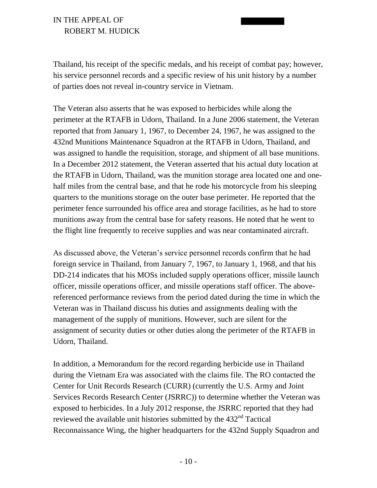Thailand, his receipt of the specific medals, and his receipt of combat pay; however, his service personnel records and a specific review of his unit history by a number of parties does not reveal in-country service in Vietnam.

The Veteran also asserts that he was exposed to herbicides while along the perimeter at the RTAFB in Udorn, Thailand. In a June 2006 statement, the Veteran reported that from January 1, 1967, to December 24, 1967, he was assigned to the 432nd Munitions Maintenance Squadron at the RTAFB in Udorn, Thailand, and was assigned to handle the requisition, storage, and shipment of all base munitions. In a December 2012 statement, the Veteran asserted that his actual duty location at the RTAFB in Udorn, Thailand, was the munition storage area located one and onehalf miles from the central base, and that he rode his motorcycle from his sleeping quarters to the munitions storage on the outer base perimeter. He reported that the perimeter fence surrounded his office area and storage facilities, as he had to store munitions away from the central base for safety reasons. He noted that he went to the flight line frequently to receive supplies and was near contaminated aircraft.

As discussed above, the Veteran's service personnel records confirm that he had foreign service in Thailand, from January 7, 1967, to January 1, 1968, and that his DD-214 indicates that his MOSs included supply operations officer, missile launch officer, missile operations officer, and missile operations staff officer. The abovereferenced performance reviews from the period dated during the time in which the Veteran was in Thailand discuss his duties and assignments dealing with the management of the supply of munitions. However, such are silent for the assignment of security duties or other duties along the perimeter of the RTAFB in Udorn, Thailand.

In addition, a Memorandum for the record regarding herbicide use in Thailand during the Vietnam Era was associated with the claims file. The RO contacted the Center for Unit Records Research (CURR) (currently the U.S. Army and Joint Services Records Research Center (JSRRC)) to determine whether the Veteran was exposed to herbicides. In a July 2012 response, the JSRRC reported that they had reviewed the available unit histories submitted by the 432<sup>nd</sup> Tactical Reconnaissance Wing, the higher headquarters for the 432nd Supply Squadron and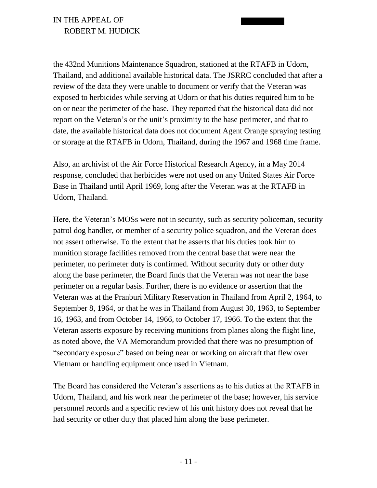the 432nd Munitions Maintenance Squadron, stationed at the RTAFB in Udorn, Thailand, and additional available historical data. The JSRRC concluded that after a review of the data they were unable to document or verify that the Veteran was exposed to herbicides while serving at Udorn or that his duties required him to be on or near the perimeter of the base. They reported that the historical data did not report on the Veteran's or the unit's proximity to the base perimeter, and that to date, the available historical data does not document Agent Orange spraying testing or storage at the RTAFB in Udorn, Thailand, during the 1967 and 1968 time frame.

Also, an archivist of the Air Force Historical Research Agency, in a May 2014 response, concluded that herbicides were not used on any United States Air Force Base in Thailand until April 1969, long after the Veteran was at the RTAFB in Udorn, Thailand.

Here, the Veteran's MOSs were not in security, such as security policeman, security patrol dog handler, or member of a security police squadron, and the Veteran does not assert otherwise. To the extent that he asserts that his duties took him to munition storage facilities removed from the central base that were near the perimeter, no perimeter duty is confirmed. Without security duty or other duty along the base perimeter, the Board finds that the Veteran was not near the base perimeter on a regular basis. Further, there is no evidence or assertion that the Veteran was at the Pranburi Military Reservation in Thailand from April 2, 1964, to September 8, 1964, or that he was in Thailand from August 30, 1963, to September 16, 1963, and from October 14, 1966, to October 17, 1966. To the extent that the Veteran asserts exposure by receiving munitions from planes along the flight line, as noted above, the VA Memorandum provided that there was no presumption of "secondary exposure" based on being near or working on aircraft that flew over Vietnam or handling equipment once used in Vietnam.

The Board has considered the Veteran's assertions as to his duties at the RTAFB in Udorn, Thailand, and his work near the perimeter of the base; however, his service personnel records and a specific review of his unit history does not reveal that he had security or other duty that placed him along the base perimeter.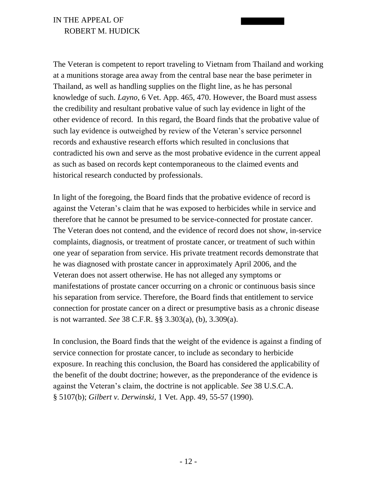The Veteran is competent to report traveling to Vietnam from Thailand and working at a munitions storage area away from the central base near the base perimeter in Thailand, as well as handling supplies on the flight line, as he has personal knowledge of such. *Layno*, 6 Vet. App. 465, 470. However, the Board must assess the credibility and resultant probative value of such lay evidence in light of the other evidence of record. In this regard, the Board finds that the probative value of such lay evidence is outweighed by review of the Veteran's service personnel records and exhaustive research efforts which resulted in conclusions that contradicted his own and serve as the most probative evidence in the current appeal as such as based on records kept contemporaneous to the claimed events and historical research conducted by professionals.

In light of the foregoing, the Board finds that the probative evidence of record is against the Veteran's claim that he was exposed to herbicides while in service and therefore that he cannot be presumed to be service-connected for prostate cancer. The Veteran does not contend, and the evidence of record does not show, in-service complaints, diagnosis, or treatment of prostate cancer, or treatment of such within one year of separation from service. His private treatment records demonstrate that he was diagnosed with prostate cancer in approximately April 2006, and the Veteran does not assert otherwise. He has not alleged any symptoms or manifestations of prostate cancer occurring on a chronic or continuous basis since his separation from service. Therefore, the Board finds that entitlement to service connection for prostate cancer on a direct or presumptive basis as a chronic disease is not warranted. *See* 38 C.F.R. §§ 3.303(a), (b), 3.309(a).

In conclusion, the Board finds that the weight of the evidence is against a finding of service connection for prostate cancer, to include as secondary to herbicide exposure. In reaching this conclusion, the Board has considered the applicability of the benefit of the doubt doctrine; however, as the preponderance of the evidence is against the Veteran's claim, the doctrine is not applicable. *See* 38 U.S.C.A. § 5107(b); *Gilbert v. Derwinski*, 1 Vet. App. 49, 55-57 (1990).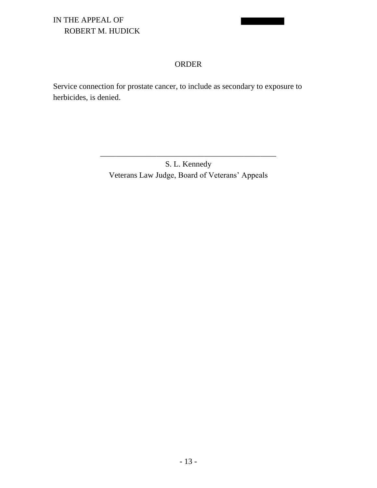#### ORDER

Service connection for prostate cancer, to include as secondary to exposure to herbicides, is denied.

> S. L. Kennedy Veterans Law Judge, Board of Veterans' Appeals

\_\_\_\_\_\_\_\_\_\_\_\_\_\_\_\_\_\_\_\_\_\_\_\_\_\_\_\_\_\_\_\_\_\_\_\_\_\_\_\_\_\_\_\_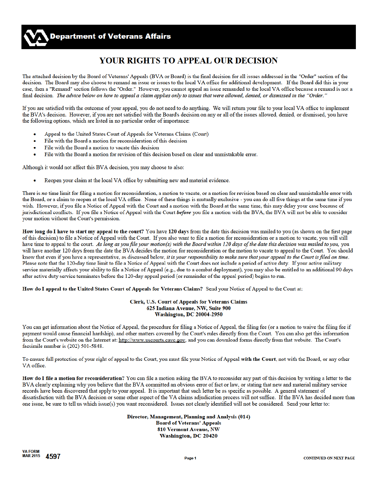# YOUR RIGHTS TO APPEAL OUR DECISION

The attached decision by the Board of Veterans' Appeals (BVA or Board) is the final decision for all issues addressed in the "Order" section of the decision. The Board may also choose to remand an issue or issues to the local VA office for additional development. If the Board did this in your case, then a "Remand" section follows the "Order." However, you cannot appeal an issue remanded to the local VA office because a remand is not a final decision. The advice below on how to appeal a claim applies only to issues that were allowed, denied, or dismissed in the "Order."

If you are satisfied with the outcome of your appeal, you do not need to do anything. We will return your file to your local VA office to implement the BVA's decision. However, if you are not satisfied with the Board's decision on any or all of the issues allowed, denied, or dismissed, you have the following options, which are listed in no particular order of importance:

- Appeal to the United States Court of Appeals for Veterans Claims (Court)
- File with the Board a motion for reconsideration of this decision  $\bullet$
- File with the Board a motion to vacate this decision  $\bullet$
- File with the Board a motion for revision of this decision based on clear and unmistakable error.

Although it would not affect this BVA decision, you may choose to also:

Reopen your claim at the local VA office by submitting new and material evidence.

There is no time limit for filing a motion for reconsideration, a motion to vacate, or a motion for revision based on clear and unmistakable error with the Board, or a claim to reopen at the local VA office. None of these things is mutually exclusive - you can do all five things at the same time if you wish. However, if you file a Notice of Appeal with the Court and a motion with the Board at the same time, this may delay your case because of jurisdictional conflicts. If you file a Notice of Appeal with the Court before you file a motion with the BVA, the BVA will not be able to consider your motion without the Court's permission.

How long do I have to start my appeal to the court? You have 120 days from the date this decision was mailed to you (as shown on the first page of this decision) to file a Notice of Appeal with the Court. If you also want to file a motion for reconsideration or a motion to vacate, you will still have time to appeal to the court. As long as you file your motion(s) with the Board within 120 days of the date this decision was mailed to you, you will have another 120 days from the date the BVA decides the motion for reconsideration or the motion to vacate to appeal to the Court. You should know that even if you have a representative, as discussed below, it is your responsibility to make sure that your appeal to the Court is filed on time. Please note that the 120-day time limit to file a Notice of Appeal with the Court does not include a period of active duty. If your active military service materially affects your ability to file a Notice of Appeal (e.g., due to a combat deployment), you may also be entitled to an additional 90 days after active duty service terminates before the 120-day appeal period (or remainder of the appeal period) begins to run.

How do I appeal to the United States Court of Appeals for Veterans Claims? Send your Notice of Appeal to the Court at:

#### Clerk, U.S. Court of Appeals for Veterans Claims 625 Indiana Avenue, NW, Suite 900 **Washington, DC 20004-2950**

You can get information about the Notice of Appeal, the procedure for filing a Notice of Appeal, the filing fee (or a motion to waive the filing fee if payment would cause financial hardship), and other matters covered by the Court's rules directly from the Court. You can also get this information from the Court's website on the Internet at: http://www.uscourts.cavc.gov, and you can download forms directly from that website. The Court's facsimile number is (202) 501-5848.

To ensure full protection of your right of appeal to the Court, you must file your Notice of Appeal with the Court, not with the Board, or any other VA office.

How do I file a motion for reconsideration? You can file a motion asking the BVA to reconsider any part of this decision by writing a letter to the BVA clearly explaining why you believe that the BVA committed an obvious error of fact or law, or stating that new and material military service records have been discovered that apply to your appeal. It is important that such letter be as specific as possible. A general statement of dissatisfaction with the BVA decision or some other aspect of the VA claims adjudication process will not suffice. If the BVA has decided more than one issue, be sure to tell us which issue(s) you want reconsidered. Issues not clearly identified will not be considered. Send your letter to:

> Director, Management, Planning and Analysis (014) **Board of Veterans' Appeals 810 Vermont Avenue, NW** Washington, DC 20420